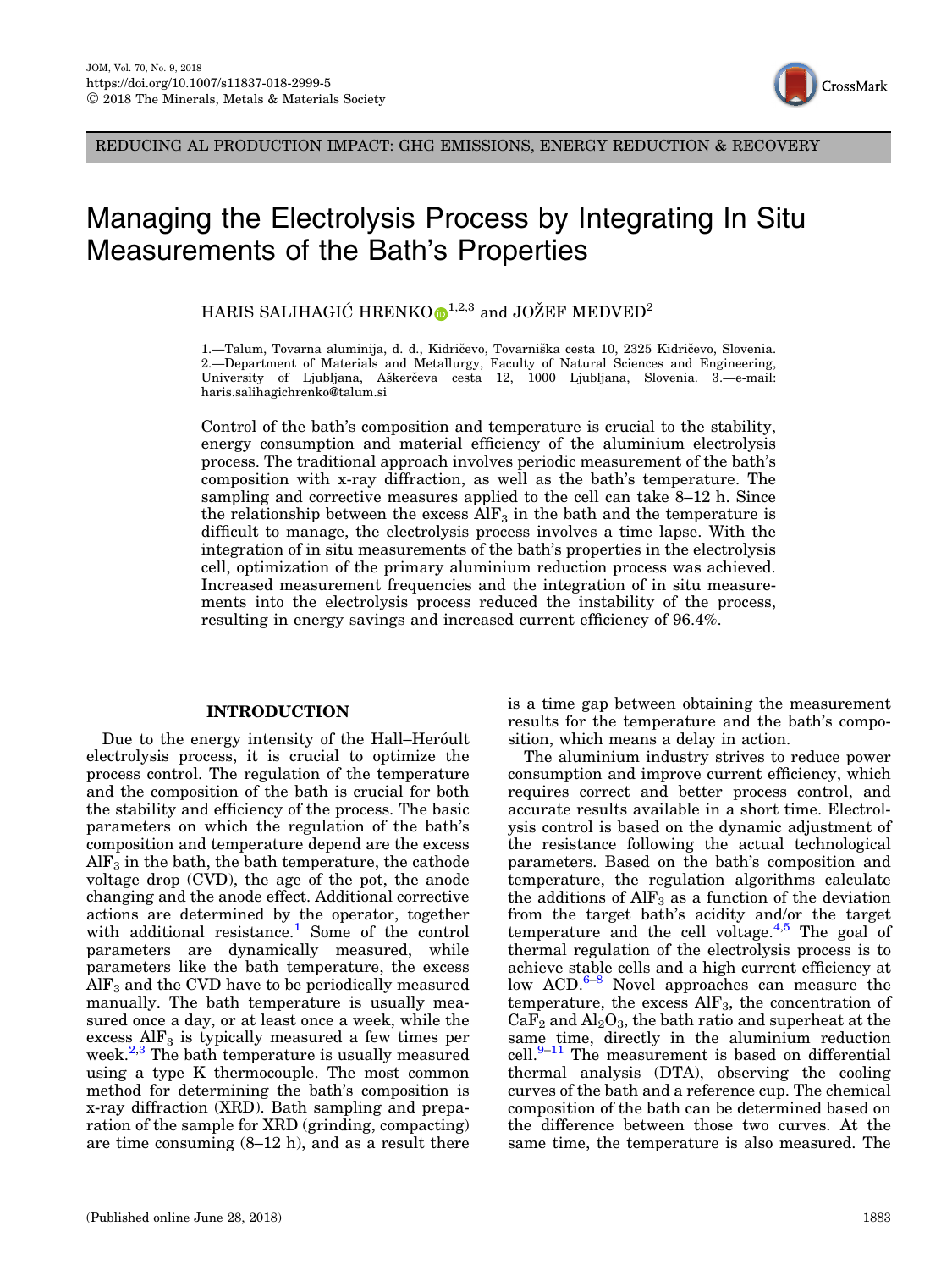

REDUCING AL PRODUCTION IMPACT: GHG EMISSIONS, ENERGY REDUCTION & RECOVERY

# Managing the Electrolysis Process by Integrating In Situ Measurements of the Bath's Properties

HARIS SALIHAGIĆ HRENK[O](http://orcid.org/0000-0002-8902-1777) $\mathbf{D}^{1,2,3}$  and JOŽEF MEDVED<sup>2</sup>

1.—Talum, Tovarna aluminija, d. d., Kidričevo, Tovarniška cesta 10, 2325 Kidričevo, Slovenia. 2.—Department of Materials and Metallurgy, Faculty of Natural Sciences and Engineering, University of Ljubljana, Aškerčeva cesta 12, 1000 Ljubljana, Slovenia. 3.—e-mail: haris.salihagichrenko@talum.si

Control of the bath's composition and temperature is crucial to the stability, energy consumption and material efficiency of the aluminium electrolysis process. The traditional approach involves periodic measurement of the bath's composition with x-ray diffraction, as well as the bath's temperature. The sampling and corrective measures applied to the cell can take 8–12 h. Since the relationship between the excess  $\text{AlF}_3$  in the bath and the temperature is difficult to manage, the electrolysis process involves a time lapse. With the integration of in situ measurements of the bath's properties in the electrolysis cell, optimization of the primary aluminium reduction process was achieved. Increased measurement frequencies and the integration of in situ measurements into the electrolysis process reduced the instability of the process, resulting in energy savings and increased current efficiency of 96.4%.

## INTRODUCTION

Due to the energy intensity of the Hall–Heroult electrolysis process, it is crucial to optimize the process control. The regulation of the temperature and the composition of the bath is crucial for both the stability and efficiency of the process. The basic parameters on which the regulation of the bath's composition and temperature depend are the excess  $\rm{AlF}_3$  in the bath, the bath temperature, the cathode voltage drop (CVD), the age of the pot, the anode changing and the anode effect. Additional corrective actions are determined by the operator, together with additional resistance.<sup>[1](#page-3-0)</sup> Some of the control parameters are dynamically measured, while parameters like the bath temperature, the excess  $\rm{AlF}_3$  and the CVD have to be periodically measured manually. The bath temperature is usually measured once a day, or at least once a week, while the excess  $\text{AlF}_3$  is typically measured a few times per week.<sup>[2,3](#page-3-0)</sup> The bath temperature is usually measured using a type K thermocouple. The most common method for determining the bath's composition is x-ray diffraction (XRD). Bath sampling and preparation of the sample for XRD (grinding, compacting) are time consuming (8–12 h), and as a result there

is a time gap between obtaining the measurement results for the temperature and the bath's composition, which means a delay in action.

The aluminium industry strives to reduce power consumption and improve current efficiency, which requires correct and better process control, and accurate results available in a short time. Electrolysis control is based on the dynamic adjustment of the resistance following the actual technological parameters. Based on the bath's composition and temperature, the regulation algorithms calculate the additions of  $\text{AlF}_3$  as a function of the deviation from the target bath's acidity and/or the target temperature and the cell voltage. $4.5$  The goal of thermal regulation of the electrolysis process is to achieve stable cells and a high current efficiency at low  $ACD$ <sup>[6–8](#page-3-0)</sup> Novel approaches can measure the temperature, the excess  $\text{AIF}_3$ , the concentration of  $CaF<sub>2</sub>$  and  $Al<sub>2</sub>O<sub>3</sub>$ , the bath ratio and superheat at the same time, directly in the aluminium reduction cell. $9-11$  The measurement is based on differential thermal analysis (DTA), observing the cooling curves of the bath and a reference cup. The chemical composition of the bath can be determined based on the difference between those two curves. At the same time, the temperature is also measured. The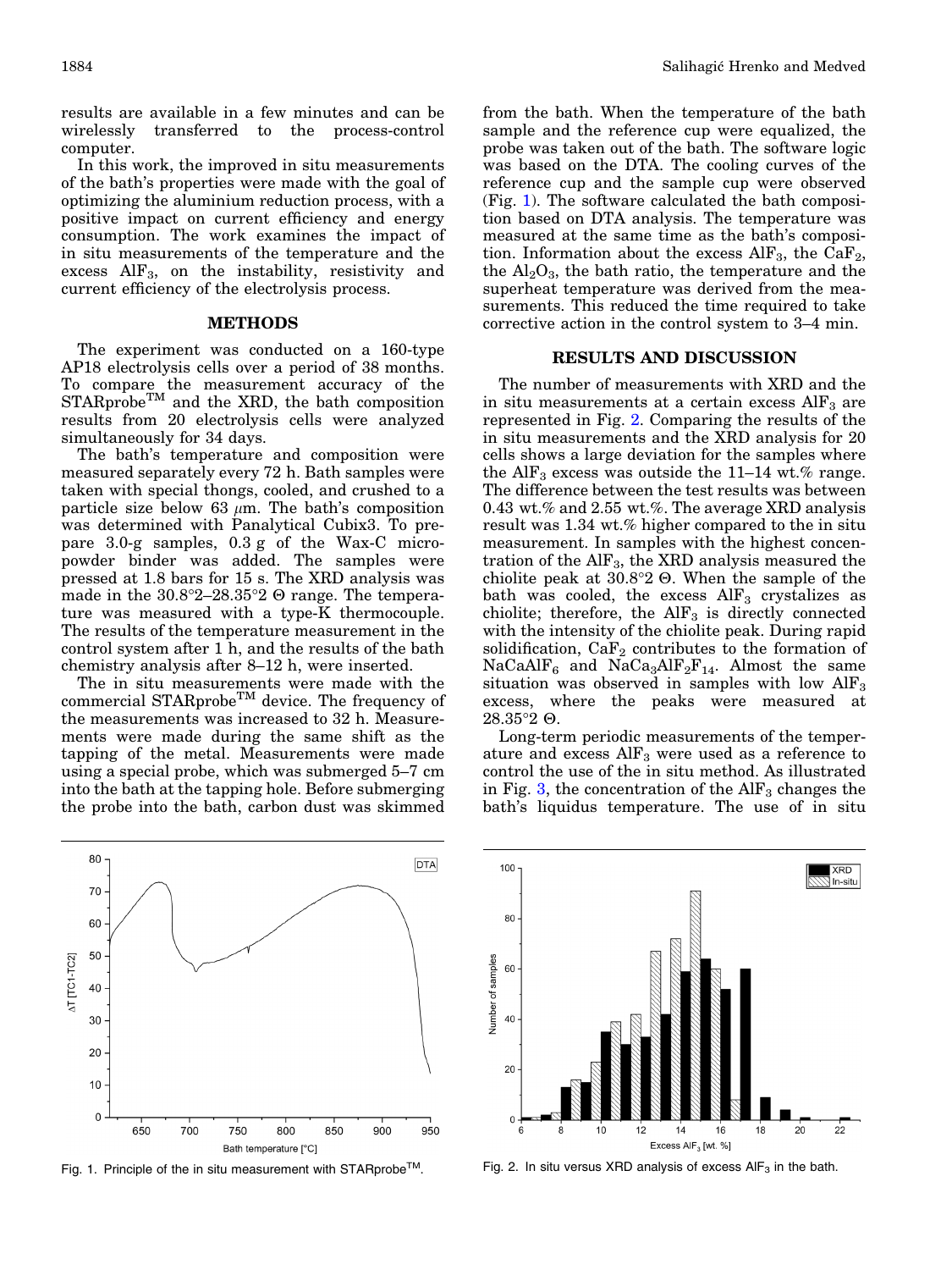results are available in a few minutes and can be wirelessly transferred to the process-control computer.

In this work, the improved in situ measurements of the bath's properties were made with the goal of optimizing the aluminium reduction process, with a positive impact on current efficiency and energy consumption. The work examines the impact of in situ measurements of the temperature and the excess  $\text{AlF}_3$ , on the instability, resistivity and current efficiency of the electrolysis process.

### METHODS

The experiment was conducted on a 160-type AP18 electrolysis cells over a period of 38 months. To compare the measurement accuracy of the  $STARprobe<sup>TM</sup>$  and the XRD, the bath composition results from 20 electrolysis cells were analyzed simultaneously for 34 days.

The bath's temperature and composition were measured separately every 72 h. Bath samples were taken with special thongs, cooled, and crushed to a particle size below 63  $\mu$ m. The bath's composition was determined with Panalytical Cubix3. To prepare 3.0-g samples, 0.3 g of the Wax-C micropowder binder was added. The samples were pressed at 1.8 bars for 15 s. The XRD analysis was made in the  $30.8^{\circ}2-28.35^{\circ}2 \Theta$  range. The temperature was measured with a type-K thermocouple. The results of the temperature measurement in the control system after 1 h, and the results of the bath chemistry analysis after 8–12 h, were inserted.

The in situ measurements were made with the commercial STARprobe<sup>TM</sup> device. The frequency of the measurements was increased to 32 h. Measurements were made during the same shift as the tapping of the metal. Measurements were made using a special probe, which was submerged 5–7 cm into the bath at the tapping hole. Before submerging the probe into the bath, carbon dust was skimmed



Fig. 1. Principle of the in situ measurement with STARprobe™. Fig. 2. In situ versus XRD analysis of excess AlF<sub>3</sub> in the bath.

from the bath. When the temperature of the bath sample and the reference cup were equalized, the probe was taken out of the bath. The software logic was based on the DTA. The cooling curves of the reference cup and the sample cup were observed (Fig. 1). The software calculated the bath composition based on DTA analysis. The temperature was measured at the same time as the bath's composition. Information about the excess  $\text{AlF}_3$ , the CaF<sub>2</sub>, the  $Al_2O_3$ , the bath ratio, the temperature and the superheat temperature was derived from the measurements. This reduced the time required to take corrective action in the control system to 3–4 min.

#### RESULTS AND DISCUSSION

The number of measurements with XRD and the in situ measurements at a certain excess  $\text{AlF}_3$  are represented in Fig. 2. Comparing the results of the in situ measurements and the XRD analysis for 20 cells shows a large deviation for the samples where the AlF<sub>3</sub> excess was outside the 11–14 wt.% range. The difference between the test results was between 0.43 wt.% and 2.55 wt.%. The average XRD analysis result was 1.34 wt.% higher compared to the in situ measurement. In samples with the highest concentration of the  $\rm{AlF_3}$ , the XRD analysis measured the chiolite peak at  $30.8^{\circ}2 \Theta$ . When the sample of the bath was cooled, the excess  $\text{AlF}_3$  crystalizes as chiolite; therefore, the  $\text{AlF}_3$  is directly connected with the intensity of the chiolite peak. During rapid solidification,  $CaF<sub>2</sub>$  contributes to the formation of  $NaCaAlF<sub>6</sub>$  and  $NaCa<sub>3</sub>AlF<sub>2</sub>F<sub>14</sub>$ . Almost the same situation was observed in samples with low  $\text{AlF}_3$ excess, where the peaks were measured at  $28.35^{\circ}2 \; \Theta.$ 

Long-term periodic measurements of the temperature and excess  $\rm{AlF_3}$  were used as a reference to control the use of the in situ method. As illustrated in Fig. [3](#page-2-0), the concentration of the  $\rm{AlF}_3$  changes the bath's liquidus temperature. The use of in situ

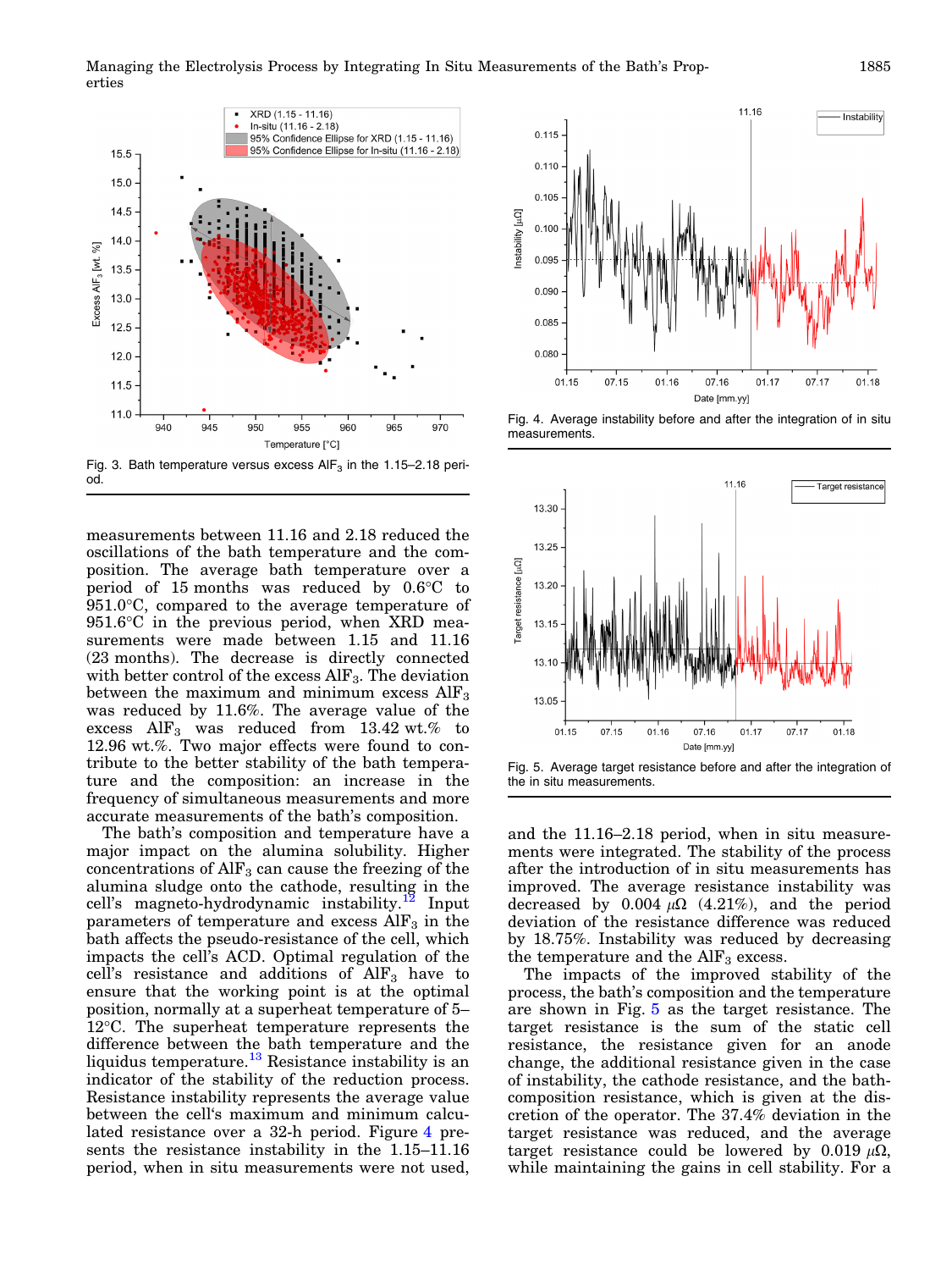<span id="page-2-0"></span>

measurements between 11.16 and 2.18 reduced the oscillations of the bath temperature and the composition. The average bath temperature over a period of 15 months was reduced by  $0.6^{\circ}$ C to  $951.0\degree$ C, compared to the average temperature of  $951.6^{\circ}$ C in the previous period, when XRD measurements were made between 1.15 and 11.16 (23 months). The decrease is directly connected with better control of the excess  $\rm{AlF_3}$ . The deviation between the maximum and minimum excess  $\rm{AlF}_3$ was reduced by 11.6%. The average value of the excess  $\text{AlF}_3$  was reduced from 13.42 wt.% to 12.96 wt.%. Two major effects were found to contribute to the better stability of the bath temperature and the composition: an increase in the frequency of simultaneous measurements and more accurate measurements of the bath's composition.

The bath's composition and temperature have a major impact on the alumina solubility. Higher concentrations of  $\text{AlF}_3$  can cause the freezing of the alumina sludge onto the cathode, resulting in the cell's magneto-hydrodynamic instability.<sup>[12](#page-3-0)</sup> Input parameters of temperature and excess  $\text{AlF}_3$  in the bath affects the pseudo-resistance of the cell, which impacts the cell's ACD. Optimal regulation of the cell's resistance and additions of  $\text{AlF}_3$  have to ensure that the working point is at the optimal position, normally at a superheat temperature of 5–  $12^{\circ}$ C. The superheat temperature represents the difference between the bath temperature and the liquidus temperature.<sup>[13](#page-3-0)</sup> Resistance instability is an indicator of the stability of the reduction process. Resistance instability represents the average value between the cell's maximum and minimum calculated resistance over a 32-h period. Figure 4 presents the resistance instability in the 1.15–11.16 period, when in situ measurements were not used,



Fig. 4. Average instability before and after the integration of in situ measurements.





and the 11.16–2.18 period, when in situ measurements were integrated. The stability of the process after the introduction of in situ measurements has improved. The average resistance instability was decreased by 0.004  $\mu\Omega$  (4.21%), and the period deviation of the resistance difference was reduced by 18.75%. Instability was reduced by decreasing the temperature and the  $\rm{AlF}_3$  excess.

The impacts of the improved stability of the process, the bath's composition and the temperature are shown in Fig. 5 as the target resistance. The target resistance is the sum of the static cell resistance, the resistance given for an anode change, the additional resistance given in the case of instability, the cathode resistance, and the bathcomposition resistance, which is given at the discretion of the operator. The 37.4% deviation in the target resistance was reduced, and the average target resistance could be lowered by 0.019  $\mu\Omega$ , while maintaining the gains in cell stability. For a